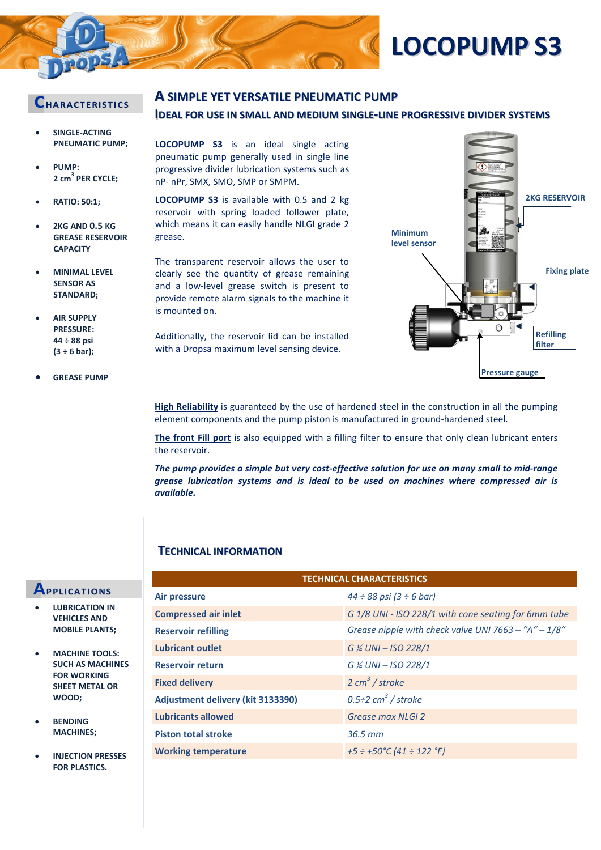

# **LOCOPUMP S3**

### **CHARACTERI STI CS**

- **SINGLE-ACTING PNEUMATIC PUMP;**
- **PUMP: 2 cm<sup>3</sup> PER CYCLE;**
- **RATIO: 50:1;**
- **2KG AND 0.5 KG GREASE RESERVOIR CAPACITY**
- **MINIMAL LEVEL SENSOR AS STANDARD;**
- **AIR SUPPLY PRESSURE: 44 ÷ 88 psi (3 ÷ 6 bar);**
- **GREASE PUMP**

### **A SIMPLE YET VERSATILE PNEUMATIC PUMP**

### **IDEAL FOR USE IN SMALL AND MEDIUM SINGLE-LINE PROGRESSIVE DIVIDER SYSTEMS**

**LOCOPUMP S3** is an ideal single acting pneumatic pump generally used in single line progressive divider lubrication systems such as nP- nPr, SMX, SMO, SMP or SMPM.

**LOCOPUMP S3** is available with 0.5 and 2 kg reservoir with spring loaded follower plate, which means it can easily handle NLGI grade 2 grease.

The transparent reservoir allows the user to clearly see the quantity of grease remaining and a low-level grease switch is present to provide remote alarm signals to the machine it is mounted on.

Additionally, the reservoir lid can be installed with a Dropsa maximum level sensing device.



**High Reliability** is guaranteed by the use of hardened steel in the construction in all the pumping element components and the pump piston is manufactured in ground-hardened steel.

**The front Fill port** is also equipped with a filling filter to ensure that only clean lubricant enters the reservoir.

*The pump provides a simple but very cost-effective solution for use on many small to mid-range grease lubrication systems and is ideal to be used on machines where compressed air is available.*

### **TECHNICAL INFORMATION**

## **APPLI CATIONS**

- **LUBRICATION IN VEHICLES AND MOBILE PLANTS;**
- **MACHINE TOOLS: SUCH AS MACHINES FOR WORKING SHEET METAL OR WOOD;**
- **BENDING MACHINES;**
- **INJECTION PRESSES FOR PLASTICS.**

| <b>TECHNICAL CHARACTERISTICS</b>  |                                                        |  |
|-----------------------------------|--------------------------------------------------------|--|
| <b>Air pressure</b>               | $44 \div 88$ psi $(3 \div 6$ bar)                      |  |
| <b>Compressed air inlet</b>       | G 1/8 UNI - ISO 228/1 with cone seating for 6mm tube   |  |
| <b>Reservoir refilling</b>        | Grease nipple with check valve UNI 7663 - "A" $-1/8$ " |  |
| <b>Lubricant outlet</b>           | G % UNI - ISO 228/1                                    |  |
| <b>Reservoir return</b>           | G % UNI - ISO 228/1                                    |  |
| <b>Fixed delivery</b>             | $2 \text{ cm}^3$ / stroke                              |  |
| Adjustment delivery (kit 3133390) | $0.5\div 2$ cm <sup>3</sup> / stroke                   |  |
| <b>Lubricants allowed</b>         | Grease max NLGI 2                                      |  |
| <b>Piston total stroke</b>        | $36.5$ mm                                              |  |
| <b>Working temperature</b>        | $+5 \div +50$ °C (41 $\div$ 122 °F)                    |  |